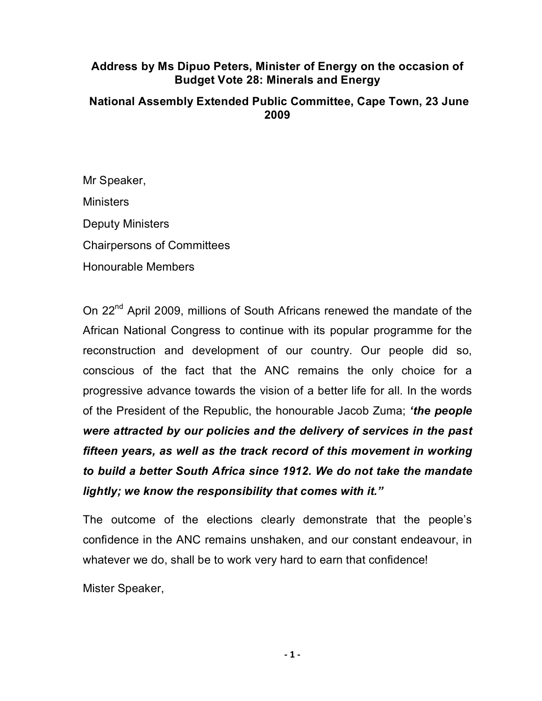# **Address by Ms Dipuo Peters, Minister of Energy on the occasion of Budget Vote 28: Minerals and Energy**

# **National Assembly Extended Public Committee, Cape Town, 23 June 2009**

Mr Speaker, **Ministers** Deputy Ministers Chairpersons of Committees Honourable Members

On 22<sup>nd</sup> April 2009, millions of South Africans renewed the mandate of the African National Congress to continue with its popular programme for the reconstruction and development of our country. Our people did so, conscious of the fact that the ANC remains the only choice for a progressive advance towards the vision of a better life for all. In the words of the President of the Republic, the honourable Jacob Zuma; *'the people were attracted by our policies and the delivery of services in the past fifteen years, as well as the track record of this movement in working to build a better South Africa since 1912. We do not take the mandate lightly; we know the responsibility that comes with it."*

The outcome of the elections clearly demonstrate that the people's confidence in the ANC remains unshaken, and our constant endeavour, in whatever we do, shall be to work very hard to earn that confidence!

Mister Speaker,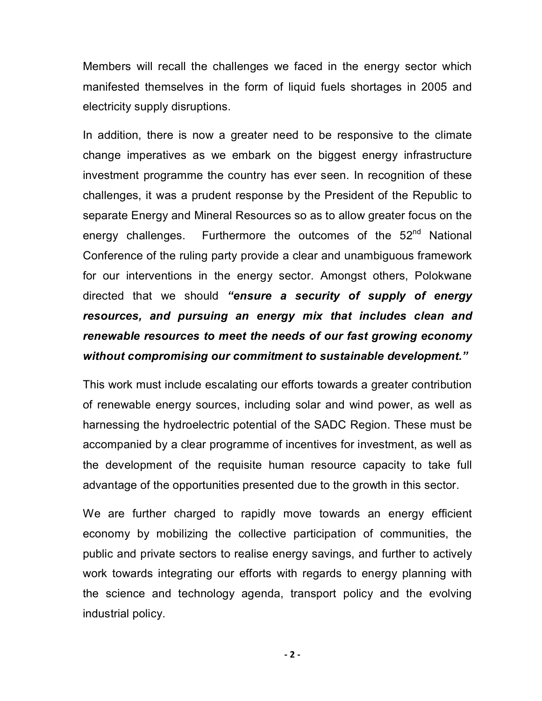Members will recall the challenges we faced in the energy sector which manifested themselves in the form of liquid fuels shortages in 2005 and electricity supply disruptions.

In addition, there is now a greater need to be responsive to the climate change imperatives as we embark on the biggest energy infrastructure investment programme the country has ever seen. In recognition of these challenges, it was a prudent response by the President of the Republic to separate Energy and Mineral Resources so as to allow greater focus on the energy challenges. Furthermore the outcomes of the 52<sup>nd</sup> National Conference of the ruling party provide a clear and unambiguous framework for our interventions in the energy sector. Amongst others, Polokwane directed that we should *"ensure a security of supply of energy resources, and pursuing an energy mix that includes clean and renewable resources to meet the needs of our fast growing economy without compromising our commitment to sustainable development."*

This work must include escalating our efforts towards a greater contribution of renewable energy sources, including solar and wind power, as well as harnessing the hydroelectric potential of the SADC Region. These must be accompanied by a clear programme of incentives for investment, as well as the development of the requisite human resource capacity to take full advantage of the opportunities presented due to the growth in this sector.

We are further charged to rapidly move towards an energy efficient economy by mobilizing the collective participation of communities, the public and private sectors to realise energy savings, and further to actively work towards integrating our efforts with regards to energy planning with the science and technology agenda, transport policy and the evolving industrial policy.

**‐ 2 ‐**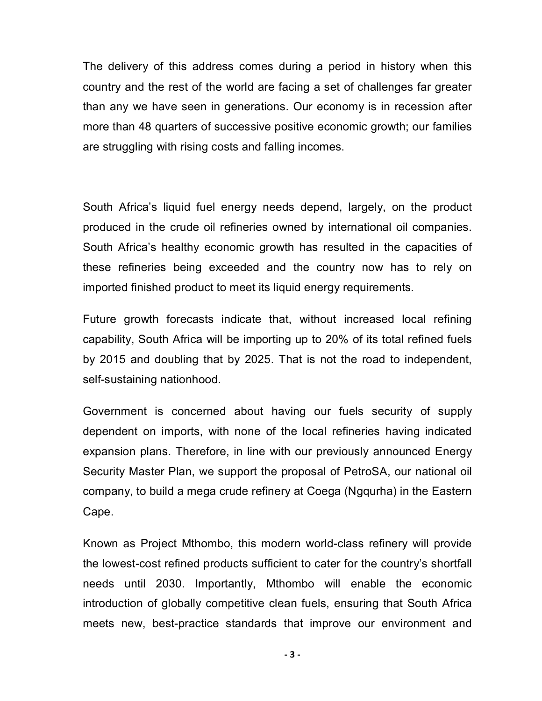The delivery of this address comes during a period in history when this country and the rest of the world are facing a set of challenges far greater than any we have seen in generations. Our economy is in recession after more than 48 quarters of successive positive economic growth; our families are struggling with rising costs and falling incomes.

South Africa's liquid fuel energy needs depend, largely, on the product produced in the crude oil refineries owned by international oil companies. South Africa's healthy economic growth has resulted in the capacities of these refineries being exceeded and the country now has to rely on imported finished product to meet its liquid energy requirements.

Future growth forecasts indicate that, without increased local refining capability, South Africa will be importing up to 20% of its total refined fuels by 2015 and doubling that by 2025. That is not the road to independent, self-sustaining nationhood.

Government is concerned about having our fuels security of supply dependent on imports, with none of the local refineries having indicated expansion plans. Therefore, in line with our previously announced Energy Security Master Plan, we support the proposal of PetroSA, our national oil company, to build a mega crude refinery at Coega (Ngqurha) in the Eastern Cape.

Known as Project Mthombo, this modern world-class refinery will provide the lowest-cost refined products sufficient to cater for the country's shortfall needs until 2030. Importantly, Mthombo will enable the economic introduction of globally competitive clean fuels, ensuring that South Africa meets new, best-practice standards that improve our environment and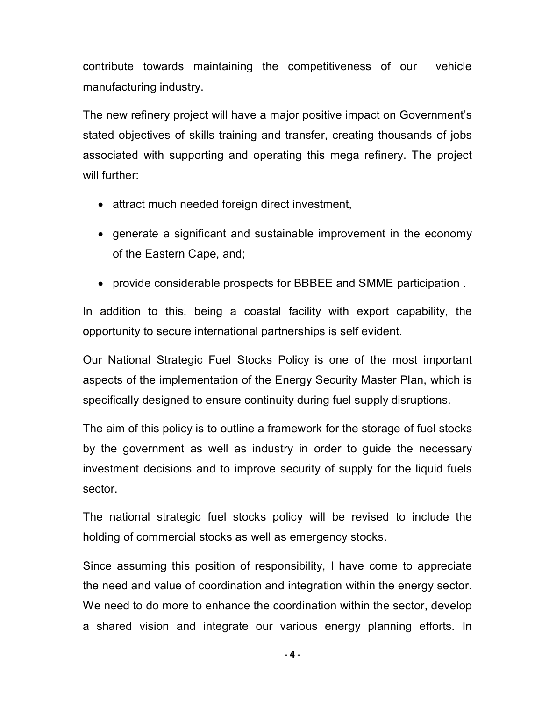contribute towards maintaining the competitiveness of our vehicle manufacturing industry.

The new refinery project will have a major positive impact on Government's stated objectives of skills training and transfer, creating thousands of jobs associated with supporting and operating this mega refinery. The project will further:

- attract much needed foreign direct investment,
- · generate a significant and sustainable improvement in the economy of the Eastern Cape, and;
- · provide considerable prospects for BBBEE and SMME participation .

In addition to this, being a coastal facility with export capability, the opportunity to secure international partnerships is self evident.

Our National Strategic Fuel Stocks Policy is one of the most important aspects of the implementation of the Energy Security Master Plan, which is specifically designed to ensure continuity during fuel supply disruptions.

The aim of this policy is to outline a framework for the storage of fuel stocks by the government as well as industry in order to guide the necessary investment decisions and to improve security of supply for the liquid fuels sector.

The national strategic fuel stocks policy will be revised to include the holding of commercial stocks as well as emergency stocks.

Since assuming this position of responsibility, I have come to appreciate the need and value of coordination and integration within the energy sector. We need to do more to enhance the coordination within the sector, develop a shared vision and integrate our various energy planning efforts. In

**‐ 4 ‐**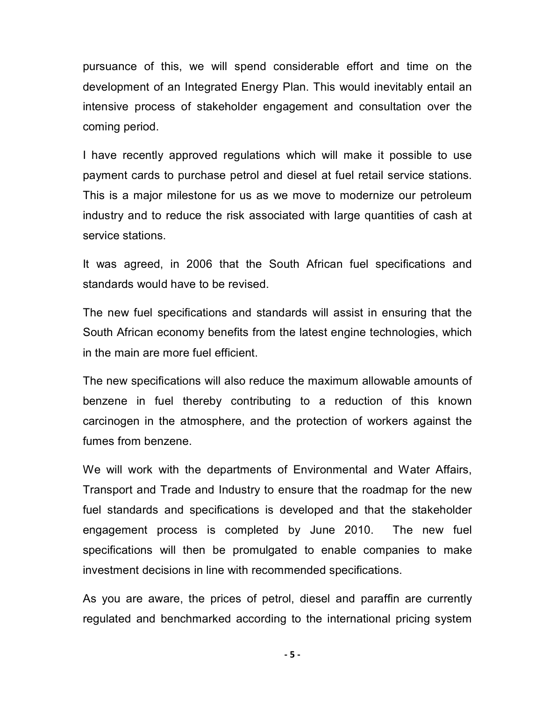pursuance of this, we will spend considerable effort and time on the development of an Integrated Energy Plan. This would inevitably entail an intensive process of stakeholder engagement and consultation over the coming period.

I have recently approved regulations which will make it possible to use payment cards to purchase petrol and diesel at fuel retail service stations. This is a major milestone for us as we move to modernize our petroleum industry and to reduce the risk associated with large quantities of cash at service stations.

It was agreed, in 2006 that the South African fuel specifications and standards would have to be revised.

The new fuel specifications and standards will assist in ensuring that the South African economy benefits from the latest engine technologies, which in the main are more fuel efficient.

The new specifications will also reduce the maximum allowable amounts of benzene in fuel thereby contributing to a reduction of this known carcinogen in the atmosphere, and the protection of workers against the fumes from benzene.

We will work with the departments of Environmental and Water Affairs, Transport and Trade and Industry to ensure that the roadmap for the new fuel standards and specifications is developed and that the stakeholder engagement process is completed by June 2010. The new fuel specifications will then be promulgated to enable companies to make investment decisions in line with recommended specifications.

As you are aware, the prices of petrol, diesel and paraffin are currently regulated and benchmarked according to the international pricing system

**‐ 5 ‐**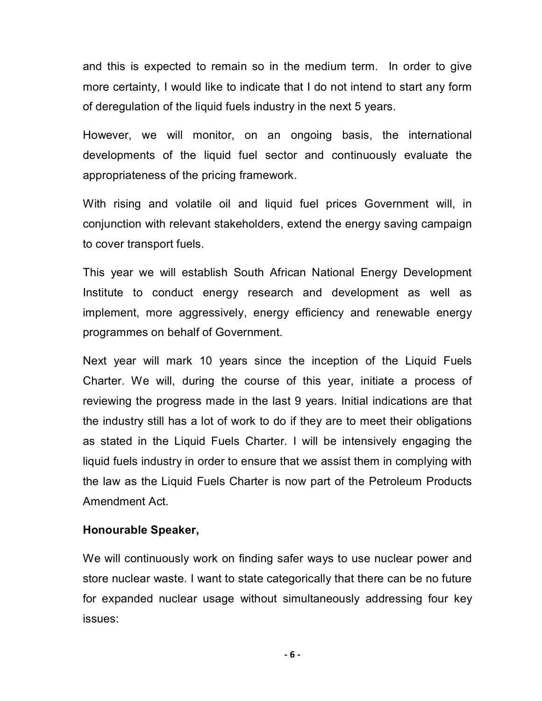and this is expected to remain so in the medium term. In order to give more certainty, I would like to indicate that I do not intend to start any form of deregulation of the liquid fuels industry in the next 5 years.

However, we will monitor, on an ongoing basis, the international developments of the liquid fuel sector and continuously evaluate the appropriateness of the pricing framework.

With rising and volatile oil and liquid fuel prices Government will, in conjunction with relevant stakeholders, extend the energy saving campaign to cover transport fuels.

This year we will establish South African National Energy Development Institute to conduct energy research and development as well as implement, more aggressively, energy efficiency and renewable energy programmes on behalf of Government.

Next year will mark 10 years since the inception of the Liquid Fuels Charter. We will, during the course of this year, initiate a process of reviewing the progress made in the last 9 years. Initial indications are that the industry still has a lot of work to do if they are to meet their obligations as stated in the Liquid Fuels Charter. I will be intensively engaging the liquid fuels industry in order to ensure that we assist them in complying with the law as the Liquid Fuels Charter is now part of the Petroleum Products Amendment Act.

### **Honourable Speaker,**

We will continuously work on finding safer ways to use nuclear power and store nuclear waste. I want to state categorically that there can be no future for expanded nuclear usage without simultaneously addressing four key issues:

**‐ 6 ‐**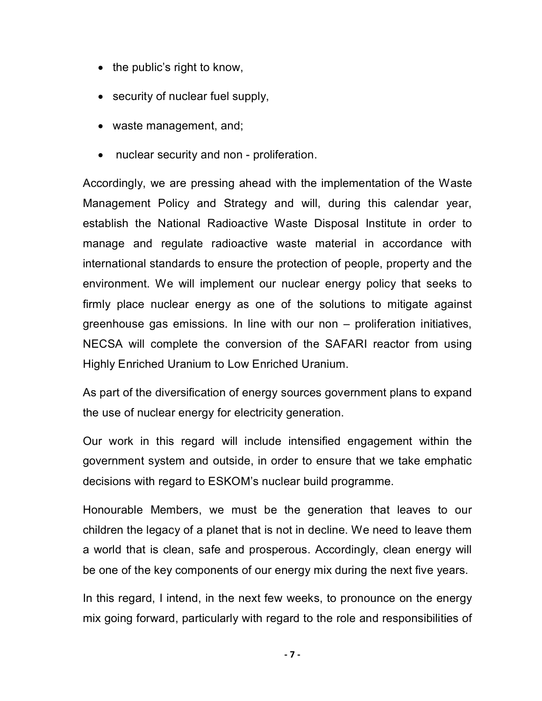- the public's right to know,
- security of nuclear fuel supply,
- · waste management, and;
- nuclear security and non proliferation.

Accordingly, we are pressing ahead with the implementation of the Waste Management Policy and Strategy and will, during this calendar year, establish the National Radioactive Waste Disposal Institute in order to manage and regulate radioactive waste material in accordance with international standards to ensure the protection of people, property and the environment. We will implement our nuclear energy policy that seeks to firmly place nuclear energy as one of the solutions to mitigate against greenhouse gas emissions. In line with our non – proliferation initiatives, NECSA will complete the conversion of the SAFARI reactor from using Highly Enriched Uranium to Low Enriched Uranium.

As part of the diversification of energy sources government plans to expand the use of nuclear energy for electricity generation.

Our work in this regard will include intensified engagement within the government system and outside, in order to ensure that we take emphatic decisions with regard to ESKOM's nuclear build programme.

Honourable Members, we must be the generation that leaves to our children the legacy of a planet that is not in decline. We need to leave them a world that is clean, safe and prosperous. Accordingly, clean energy will be one of the key components of our energy mix during the next five years.

In this regard, I intend, in the next few weeks, to pronounce on the energy mix going forward, particularly with regard to the role and responsibilities of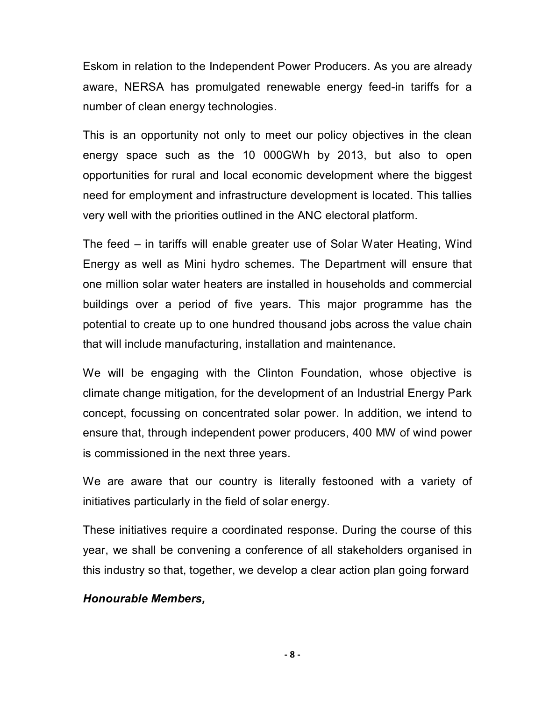Eskom in relation to the Independent Power Producers. As you are already aware, NERSA has promulgated renewable energy feed-in tariffs for a number of clean energy technologies.

This is an opportunity not only to meet our policy objectives in the clean energy space such as the 10 000GWh by 2013, but also to open opportunities for rural and local economic development where the biggest need for employment and infrastructure development is located. This tallies very well with the priorities outlined in the ANC electoral platform.

The feed – in tariffs will enable greater use of Solar Water Heating, Wind Energy as well as Mini hydro schemes. The Department will ensure that one million solar water heaters are installed in households and commercial buildings over a period of five years. This major programme has the potential to create up to one hundred thousand jobs across the value chain that will include manufacturing, installation and maintenance.

We will be engaging with the Clinton Foundation, whose objective is climate change mitigation, for the development of an Industrial Energy Park concept, focussing on concentrated solar power. In addition, we intend to ensure that, through independent power producers, 400 MW of wind power is commissioned in the next three years.

We are aware that our country is literally festooned with a variety of initiatives particularly in the field of solar energy.

These initiatives require a coordinated response. During the course of this year, we shall be convening a conference of all stakeholders organised in this industry so that, together, we develop a clear action plan going forward

### *Honourable Members,*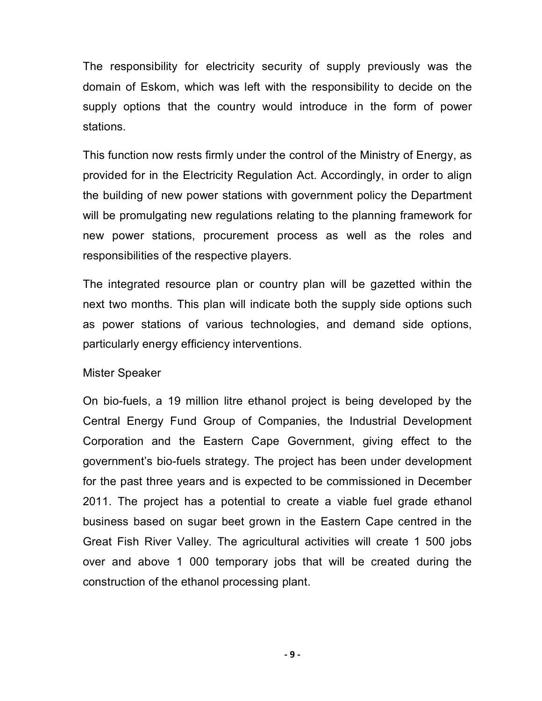The responsibility for electricity security of supply previously was the domain of Eskom, which was left with the responsibility to decide on the supply options that the country would introduce in the form of power stations.

This function now rests firmly under the control of the Ministry of Energy, as provided for in the Electricity Regulation Act. Accordingly, in order to align the building of new power stations with government policy the Department will be promulgating new regulations relating to the planning framework for new power stations, procurement process as well as the roles and responsibilities of the respective players.

The integrated resource plan or country plan will be gazetted within the next two months. This plan will indicate both the supply side options such as power stations of various technologies, and demand side options, particularly energy efficiency interventions.

#### Mister Speaker

On bio-fuels, a 19 million litre ethanol project is being developed by the Central Energy Fund Group of Companies, the Industrial Development Corporation and the Eastern Cape Government, giving effect to the government's bio-fuels strategy. The project has been under development for the past three years and is expected to be commissioned in December 2011. The project has a potential to create a viable fuel grade ethanol business based on sugar beet grown in the Eastern Cape centred in the Great Fish River Valley. The agricultural activities will create 1 500 jobs over and above 1 000 temporary jobs that will be created during the construction of the ethanol processing plant.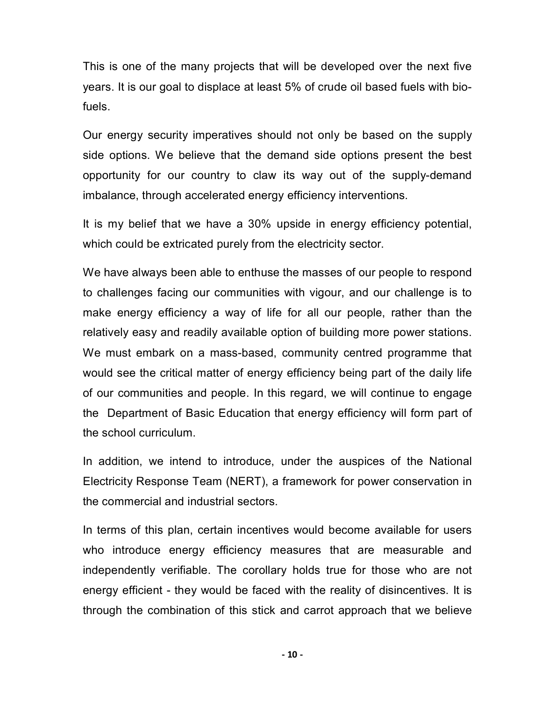This is one of the many projects that will be developed over the next five years. It is our goal to displace at least 5% of crude oil based fuels with bio fuels.

Our energy security imperatives should not only be based on the supply side options. We believe that the demand side options present the best opportunity for our country to claw its way out of the supply-demand imbalance, through accelerated energy efficiency interventions.

It is my belief that we have a 30% upside in energy efficiency potential, which could be extricated purely from the electricity sector.

We have always been able to enthuse the masses of our people to respond to challenges facing our communities with vigour, and our challenge is to make energy efficiency a way of life for all our people, rather than the relatively easy and readily available option of building more power stations. We must embark on a mass-based, community centred programme that would see the critical matter of energy efficiency being part of the daily life of our communities and people. In this regard, we will continue to engage the Department of Basic Education that energy efficiency will form part of the school curriculum.

In addition, we intend to introduce, under the auspices of the National Electricity Response Team (NERT), a framework for power conservation in the commercial and industrial sectors.

In terms of this plan, certain incentives would become available for users who introduce energy efficiency measures that are measurable and independently verifiable. The corollary holds true for those who are not energy efficient - they would be faced with the reality of disincentives. It is through the combination of this stick and carrot approach that we believe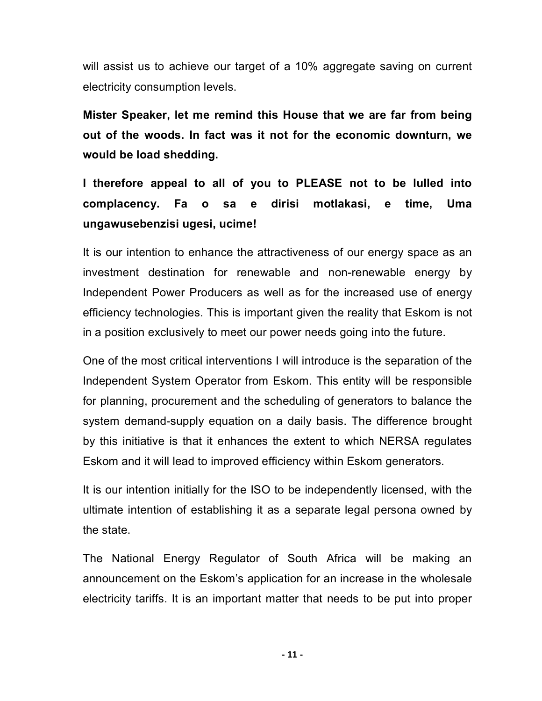will assist us to achieve our target of a 10% aggregate saving on current electricity consumption levels.

**Mister Speaker, let me remind this House that we are far from being out of the woods. In fact was it not for the economic downturn, we would be load shedding.** 

**I therefore appeal to all of you to PLEASE not to be lulled into complacency. Fa o sa e dirisi motlakasi, e time, Uma ungawusebenzisi ugesi, ucime!**

It is our intention to enhance the attractiveness of our energy space as an investment destination for renewable and non-renewable energy by Independent Power Producers as well as for the increased use of energy efficiency technologies. This is important given the reality that Eskom is not in a position exclusively to meet our power needs going into the future.

One of the most critical interventions I will introduce is the separation of the Independent System Operator from Eskom. This entity will be responsible for planning, procurement and the scheduling of generators to balance the system demand-supply equation on a daily basis. The difference brought by this initiative is that it enhances the extent to which NERSA regulates Eskom and it will lead to improved efficiency within Eskom generators.

It is our intention initially for the ISO to be independently licensed, with the ultimate intention of establishing it as a separate legal persona owned by the state.

The National Energy Regulator of South Africa will be making an announcement on the Eskom's application for an increase in the wholesale electricity tariffs. It is an important matter that needs to be put into proper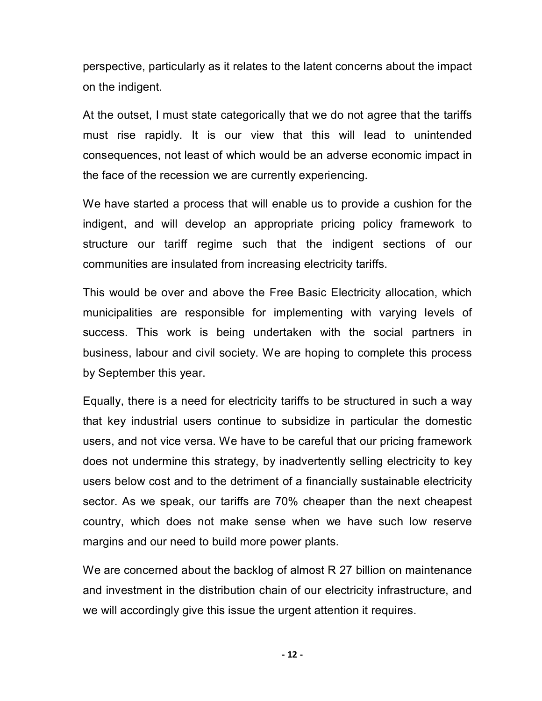perspective, particularly as it relates to the latent concerns about the impact on the indigent.

At the outset, I must state categorically that we do not agree that the tariffs must rise rapidly. It is our view that this will lead to unintended consequences, not least of which would be an adverse economic impact in the face of the recession we are currently experiencing.

We have started a process that will enable us to provide a cushion for the indigent, and will develop an appropriate pricing policy framework to structure our tariff regime such that the indigent sections of our communities are insulated from increasing electricity tariffs.

This would be over and above the Free Basic Electricity allocation, which municipalities are responsible for implementing with varying levels of success. This work is being undertaken with the social partners in business, labour and civil society. We are hoping to complete this process by September this year.

Equally, there is a need for electricity tariffs to be structured in such a way that key industrial users continue to subsidize in particular the domestic users, and not vice versa. We have to be careful that our pricing framework does not undermine this strategy, by inadvertently selling electricity to key users below cost and to the detriment of a financially sustainable electricity sector. As we speak, our tariffs are 70% cheaper than the next cheapest country, which does not make sense when we have such low reserve margins and our need to build more power plants.

We are concerned about the backlog of almost R 27 billion on maintenance and investment in the distribution chain of our electricity infrastructure, and we will accordingly give this issue the urgent attention it requires.

**‐ 12 ‐**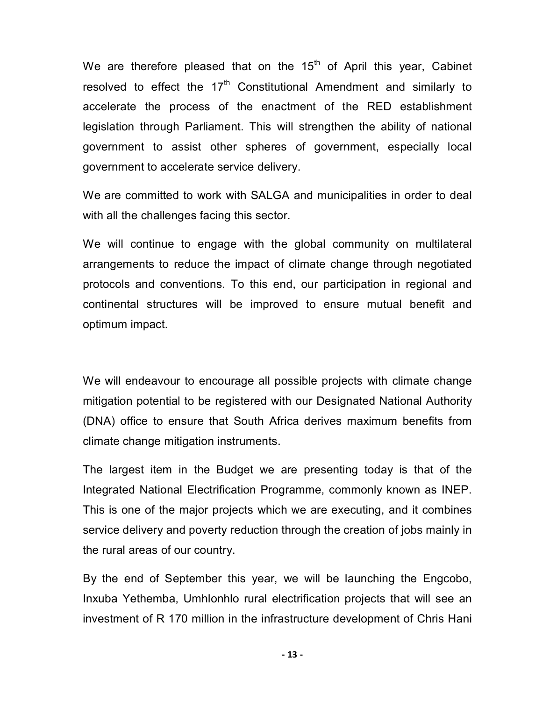We are therefore pleased that on the  $15<sup>th</sup>$  of April this year, Cabinet resolved to effect the  $17<sup>th</sup>$  Constitutional Amendment and similarly to accelerate the process of the enactment of the RED establishment legislation through Parliament. This will strengthen the ability of national government to assist other spheres of government, especially local government to accelerate service delivery.

We are committed to work with SALGA and municipalities in order to deal with all the challenges facing this sector.

We will continue to engage with the global community on multilateral arrangements to reduce the impact of climate change through negotiated protocols and conventions. To this end, our participation in regional and continental structures will be improved to ensure mutual benefit and optimum impact.

We will endeavour to encourage all possible projects with climate change mitigation potential to be registered with our Designated National Authority (DNA) office to ensure that South Africa derives maximum benefits from climate change mitigation instruments.

The largest item in the Budget we are presenting today is that of the Integrated National Electrification Programme, commonly known as INEP. This is one of the major projects which we are executing, and it combines service delivery and poverty reduction through the creation of jobs mainly in the rural areas of our country.

By the end of September this year, we will be launching the Engcobo, Inxuba Yethemba, Umhlonhlo rural electrification projects that will see an investment of R 170 million in the infrastructure development of Chris Hani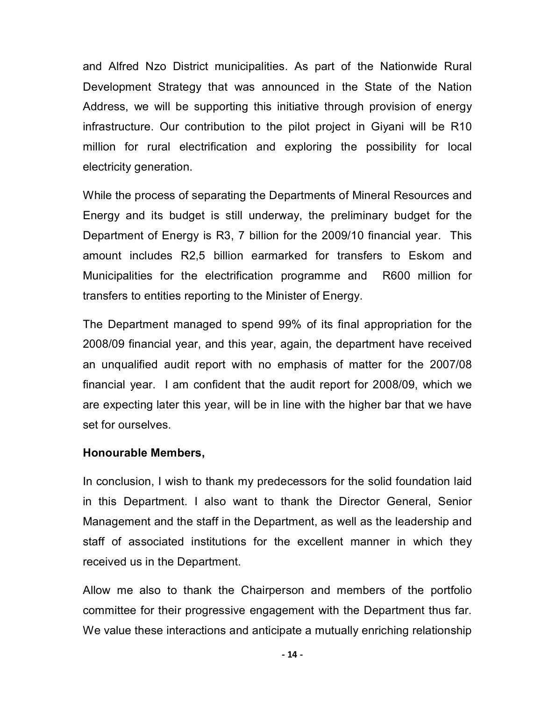and Alfred Nzo District municipalities. As part of the Nationwide Rural Development Strategy that was announced in the State of the Nation Address, we will be supporting this initiative through provision of energy infrastructure. Our contribution to the pilot project in Giyani will be R10 million for rural electrification and exploring the possibility for local electricity generation.

While the process of separating the Departments of Mineral Resources and Energy and its budget is still underway, the preliminary budget for the Department of Energy is R3, 7 billion for the 2009/10 financial year. This amount includes R2,5 billion earmarked for transfers to Eskom and Municipalities for the electrification programme and R600 million for transfers to entities reporting to the Minister of Energy.

The Department managed to spend 99% of its final appropriation for the 2008/09 financial year, and this year, again, the department have received an unqualified audit report with no emphasis of matter for the 2007/08 financial year. I am confident that the audit report for 2008/09, which we are expecting later this year, will be in line with the higher bar that we have set for ourselves.

# **Honourable Members,**

In conclusion, I wish to thank my predecessors for the solid foundation laid in this Department. I also want to thank the Director General, Senior Management and the staff in the Department, as well as the leadership and staff of associated institutions for the excellent manner in which they received us in the Department.

Allow me also to thank the Chairperson and members of the portfolio committee for their progressive engagement with the Department thus far. We value these interactions and anticipate a mutually enriching relationship